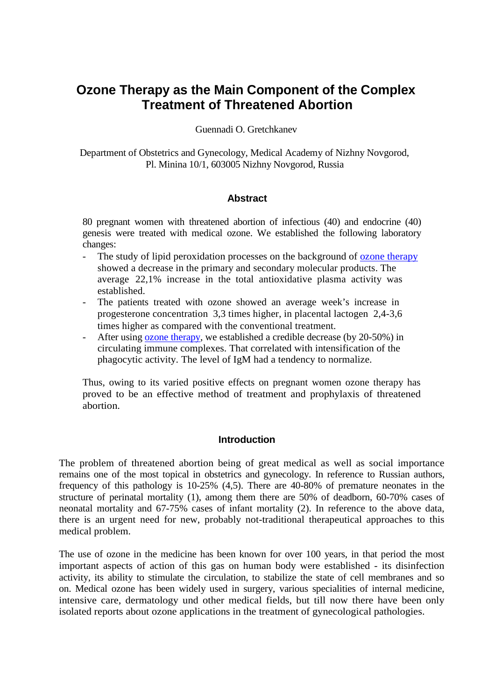# **Ozone Therapy as the Main Component of the Complex Treatment of Threatened Abortion**

Guennadi O. Gretchkanev

Department of Obstetrics and Gynecology, Medical Academy of Nizhny Novgorod, Pl. Minina 10/1, 603005 Nizhny Novgorod, Russia

### **Abstract**

80 pregnant women with threatened abortion of infectious (40) and endocrine (40) genesis were treated with medical ozone. We established the following laboratory changes:

- The study of lipid peroxidation processes on the background of <u>ozone therapy</u> showed a decrease in the primary and secondary molecular products. The average 22,1% increase in the total antioxidative plasma activity was established.
- The patients treated with ozone showed an average week's increase in progesterone concentration 3,3 times higher, in placental lactogen 2,4-3,6 times higher as compared with the conventional treatment.
- After using <u>ozone therapy</u>, we established a credible decrease (by 20-50%) in circulating immune complexes. That correlated with intensification of the phagocytic activity. The level of IgM had a tendency to normalize.

Thus, owing to its varied positive effects on pregnant women ozone therapy has proved to be an effective method of treatment and prophylaxis of threatened abortion.

### **Introduction**

The problem of threatened abortion being of great medical as well as social importance remains one of the most topical in obstetrics and gynecology. In reference to Russian authors, frequency of this pathology is 10-25% (4,5). There are 40-80% of premature neonates in the structure of perinatal mortality (1), among them there are 50% of deadborn, 60-70% cases of neonatal mortality and 67-75% cases of infant mortality (2). In reference to the above data, there is an urgent need for new, probably not-traditional therapeutical approaches to this medical problem.

The use of ozone in the medicine has been known for over 100 years, in that period the most important aspects of action of this gas on human body were established - its disinfection activity, its ability to stimulate the circulation, to stabilize the state of cell membranes and so on. Medical ozone has been widely used in surgery, various specialities of internal medicine, intensive care, dermatology und other medical fields, but till now there have been only isolated reports about ozone applications in the treatment of gynecological pathologies.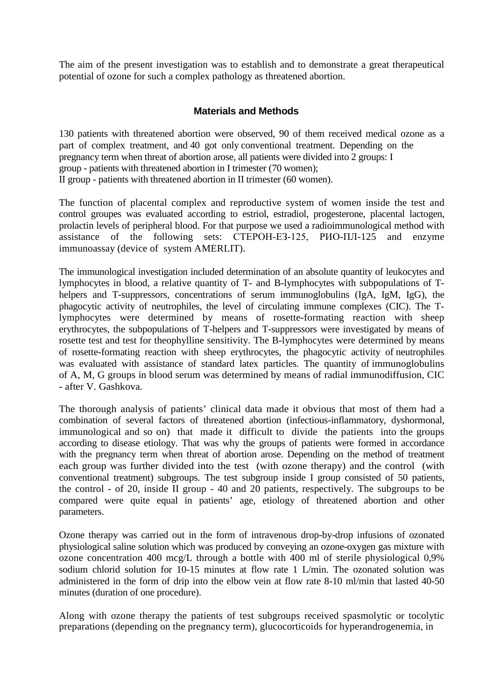The aim of the present investigation was to establish and to demonstrate a great therapeutical potential of ozone for such a complex pathology as threatened abortion.

# **Materials and Methods**

130 patients with threatened abortion were observed, 90 of them received medical ozone as a part of complex treatment, and 40 got only conventional treatment. Depending on the pregnancy term when threat of abortion arose, all patients were divided into 2 groups: I group - patients with threatened abortion in I trimester (70 women); II group - patients with threatened abortion in II trimester (60 women).

The function of placental complex and reproductive system of women inside the test and control groupes was evaluated according to estriol, estradiol, progesterone, placental lactogen, prolactin levels of peripheral blood. For that purpose we used a radioimmunological method with assistance of the following sets: СТЕРОН-ЕЗ-125, РИО-ПЛ-125 and enzyme immunoassay (device of system AMERLIT).

The immunological investigation included determination of an absolute quantity of leukocytes and lymphocytes in blood, a relative quantity of T- and B-lymphocytes with subpopulations of Thelpers and T-suppressors, concentrations of serum immunoglobulins (IgA, IgM, IgG), the phagocytic activity of neutrophiles, the level of circulating immune complexes (CIC). The Tlymphocytes were determined by means of rosette-formating reaction with sheep erythrocytes, the subpopulations of T-helpers and T-suppressors were investigated by means of rosette test and test for theophylline sensitivity. The B-lymphocytes were determined by means of rosette-formating reaction with sheep erythrocytes, the phagocytic activity of neutrophiles was evaluated with assistance of standard latex particles. The quantity of immunoglobulins of A, M, G groups in blood serum was determined by means of radial immunodiffusion, CIC - after V. Gashkova.

The thorough analysis of patients' clinical data made it obvious that most of them had a combination of several factors of threatened abortion (infectious-inflammatory, dyshormonal, immunological and so on) that made it difficult to divide the patients into the groups according to disease etiology. That was why the groups of patients were formed in accordance with the pregnancy term when threat of abortion arose. Depending on the method of treatment each group was further divided into the test (with ozone therapy) and the control (with conventional treatment) subgroups. The test subgroup inside I group consisted of 50 patients, the control - of 20, inside II group - 40 and 20 patients, respectively. The subgroups to be compared were quite equal in patients' age, etiology of threatened abortion and other parameters.

Ozone therapy was carried out in the form of intravenous drop-by-drop infusions of ozonated physiological saline solution which was produced by conveying an ozone-oxygen gas mixture with ozone concentration 400 mcg/L through a bottle with 400 ml of sterile physiological 0,9% sodium chlorid solution for 10-15 minutes at flow rate 1 L/min. The ozonated solution was administered in the form of drip into the elbow vein at flow rate 8-10 ml/min that lasted 40-50 minutes (duration of one procedure).

Along with ozone therapy the patients of test subgroups received spasmolytic or tocolytic preparations (depending on the pregnancy term), glucocorticoids for hyperandrogenemia, in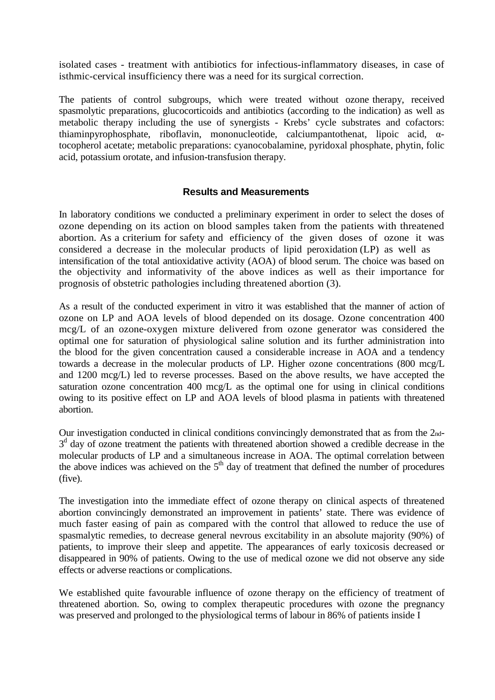isolated cases - treatment with antibiotics for infectious-inflammatory diseases, in case of isthmic-cervical insufficiency there was a need for its surgical correction.

The patients of control subgroups, which were treated without ozone therapy, received spasmolytic preparations, glucocorticoids and antibiotics (according to the indication) as well as metabolic therapy including the use of synergists - Krebs' cycle substrates and cofactors: thiaminpyrophosphate, riboflavin, mononucleotide, calciumpantothenat, lipoic acid, αtocopherol acetate; metabolic preparations: cyanocobalamine, pyridoxal phosphate, phytin, folic acid, potassium orotate, and infusion-transfusion therapy.

## **Results and Measurements**

In laboratory conditions we conducted a preliminary experiment in order to select the doses of ozone depending on its action on blood samples taken from the patients with threatened abortion. As a criterium for safety and efficiency of the given doses of ozone it was considered a decrease in the molecular products of lipid peroxidation (LP) as well as intensification of the total antioxidative activity (AOA) of blood serum. The choice was based on the objectivity and informativity of the above indices as well as their importance for prognosis of obstetric pathologies including threatened abortion (3).

As a result of the conducted experiment in vitro it was established that the manner of action of ozone on LP and AOA levels of blood depended on its dosage. Ozone concentration 400 mcg/L of an ozone-oxygen mixture delivered from ozone generator was considered the optimal one for saturation of physiological saline solution and its further administration into the blood for the given concentration caused a considerable increase in AOA and a tendency towards a decrease in the molecular products of LP. Higher ozone concentrations (800 mcg/L and 1200 mcg/L) led to reverse processes. Based on the above results, we have accepted the saturation ozone concentration 400 mcg/L as the optimal one for using in clinical conditions owing to its positive effect on LP and AOA levels of blood plasma in patients with threatened abortion.

Our investigation conducted in clinical conditions convincingly demonstrated that as from the 2nd- $3<sup>d</sup>$  day of ozone treatment the patients with threatened abortion showed a credible decrease in the molecular products of LP and a simultaneous increase in AOA. The optimal correlation between the above indices was achieved on the  $5<sup>th</sup>$  day of treatment that defined the number of procedures (five).

The investigation into the immediate effect of ozone therapy on clinical aspects of threatened abortion convincingly demonstrated an improvement in patients' state. There was evidence of much faster easing of pain as compared with the control that allowed to reduce the use of spasmalytic remedies, to decrease general nevrous excitability in an absolute majority (90%) of patients, to improve their sleep and appetite. The appearances of early toxicosis decreased or disappeared in 90% of patients. Owing to the use of medical ozone we did not observe any side effects or adverse reactions or complications.

We established quite favourable influence of ozone therapy on the efficiency of treatment of threatened abortion. So, owing to complex therapeutic procedures with ozone the pregnancy was preserved and prolonged to the physiological terms of labour in 86% of patients inside I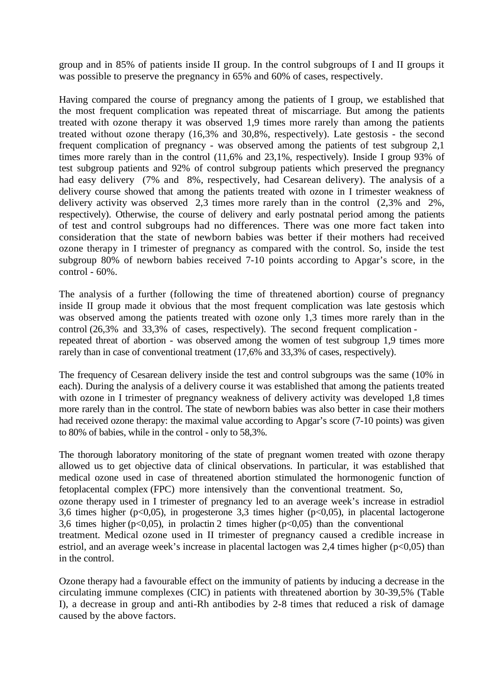group and in 85% of patients inside II group. In the control subgroups of I and II groups it was possible to preserve the pregnancy in 65% and 60% of cases, respectively.

Having compared the course of pregnancy among the patients of I group, we established that the most frequent complication was repeated threat of miscarriage. But among the patients treated with ozone therapy it was observed 1,9 times more rarely than among the patients treated without ozone therapy (16,3% and 30,8%, respectively). Late gestosis - the second frequent complication of pregnancy - was observed among the patients of test subgroup 2,1 times more rarely than in the control (11,6% and 23,1%, respectively). Inside I group 93% of test subgroup patients and 92% of control subgroup patients which preserved the pregnancy had easy delivery (7% and 8%, respectively, had Cesarean delivery). The analysis of a delivery course showed that among the patients treated with ozone in I trimester weakness of delivery activity was observed 2,3 times more rarely than in the control (2,3% and 2%, respectively). Otherwise, the course of delivery and early postnatal period among the patients of test and control subgroups had no differences. There was one more fact taken into consideration that the state of newborn babies was better if their mothers had received ozone therapy in I trimester of pregnancy as compared with the control. So, inside the test subgroup 80% of newborn babies received 7-10 points according to Apgar's score, in the control - 60%.

The analysis of a further (following the time of threatened abortion) course of pregnancy inside II group made it obvious that the most frequent complication was late gestosis which was observed among the patients treated with ozone only 1,3 times more rarely than in the control (26,3% and 33,3% of cases, respectively). The second frequent complication repeated threat of abortion - was observed among the women of test subgroup 1,9 times more rarely than in case of conventional treatment (17,6% and 33,3% of cases, respectively).

The frequency of Cesarean delivery inside the test and control subgroups was the same (10% in each). During the analysis of a delivery course it was established that among the patients treated with ozone in I trimester of pregnancy weakness of delivery activity was developed 1,8 times more rarely than in the control. The state of newborn babies was also better in case their mothers had received ozone therapy: the maximal value according to Apgar's score (7-10 points) was given to 80% of babies, while in the control - only to 58,3%.

The thorough laboratory monitoring of the state of pregnant women treated with ozone therapy allowed us to get objective data of clinical observations. In particular, it was established that medical ozone used in case of threatened abortion stimulated the hormonogenic function of fetoplacental complex (FPC) more intensively than the conventional treatment. So,

ozone therapy used in I trimester of pregnancy led to an average week's increase in estradiol 3,6 times higher ( $p<0,05$ ), in progesterone 3,3 times higher ( $p<0,05$ ), in placental lactogerone 3,6 times higher ( $p<0,05$ ), in prolactin 2 times higher ( $p<0,05$ ) than the conventional

treatment. Medical ozone used in II trimester of pregnancy caused a credible increase in estriol, and an average week's increase in placental lactogen was  $2,4$  times higher ( $p<0,05$ ) than in the control.

Ozone therapy had a favourable effect on the immunity of patients by inducing a decrease in the circulating immune complexes (CIC) in patients with threatened abortion by 30-39,5% (Table I), a decrease in group and anti-Rh antibodies by 2-8 times that reduced a risk of damage caused by the above factors.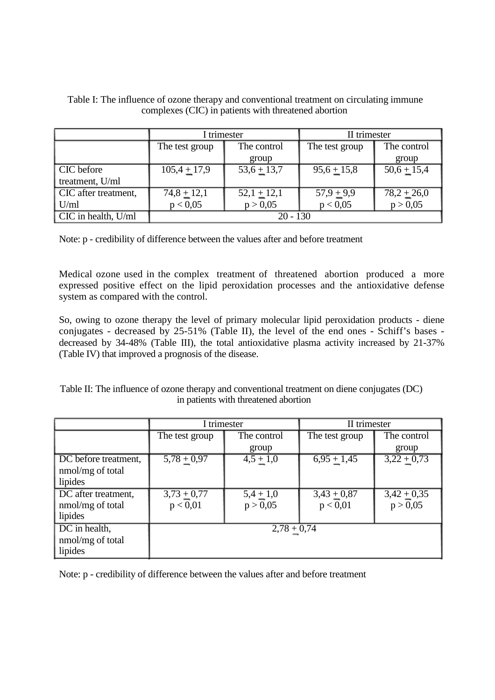|                      | I trimester      |               | II trimester   |                           |
|----------------------|------------------|---------------|----------------|---------------------------|
|                      | The test group   | The control   | The test group | The control               |
|                      |                  | group         |                | group                     |
| CIC before           | $105,4 \pm 17,9$ | $53,6 + 13,7$ | $95,6+15,8$    | $50,6 + 15,4$             |
| treatment, U/ml      |                  |               |                |                           |
| CIC after treatment, | $74,8 + 12,1$    | $52,1 + 12,1$ | $57,9 + 9,9$   | $78,2 + 26,0$<br>p > 0,05 |
| U/ml                 | p < 0.05         | p > 0,05      | p < 0.05       |                           |
| CIC in health, U/ml  | $20 - 130$       |               |                |                           |

Table I: The influence of ozone therapy and conventional treatment on circulating immune complexes (CIC) in patients with threatened abortion

Note: p - credibility of difference between the values after and before treatment

Medical ozone used in the complex treatment of threatened abortion produced a more expressed positive effect on the lipid peroxidation processes and the antioxidative defense system as compared with the control.

So, owing to ozone therapy the level of primary molecular lipid peroxidation products - diene conjugates - decreased by 25-51% (Table II), the level of the end ones - Schiff's bases decreased by 34-48% (Table III), the total antioxidative plasma activity increased by 21-37% (Table IV) that improved a prognosis of the disease.

| Table II: The influence of ozone therapy and conventional treatment on diene conjugates (DC) |
|----------------------------------------------------------------------------------------------|
| in patients with threatened abortion                                                         |

|                      | I trimester    |             | II trimester   |               |
|----------------------|----------------|-------------|----------------|---------------|
|                      | The test group | The control | The test group | The control   |
|                      |                | group       |                | group         |
| DC before treatment, | $5,78 + 0,97$  | $4,5 + 1,0$ | $6,95 + 1,45$  | $3,22 + 0,73$ |
| nmol/mg of total     |                |             |                |               |
| lipides              |                |             |                |               |
| DC after treatment,  | $3,73 + 0,77$  | $5,4+1,0$   | $3,43 + 0,87$  | $3,42 + 0,35$ |
| nmol/mg of total     | p < 0.01       | p > 0,05    | p < 0.01       | p > 0.05      |
| lipides              |                |             |                |               |
| DC in health,        | $2,78 + 0,74$  |             |                |               |
| nmol/mg of total     |                |             |                |               |
| lipides              |                |             |                |               |

Note: p - credibility of difference between the values after and before treatment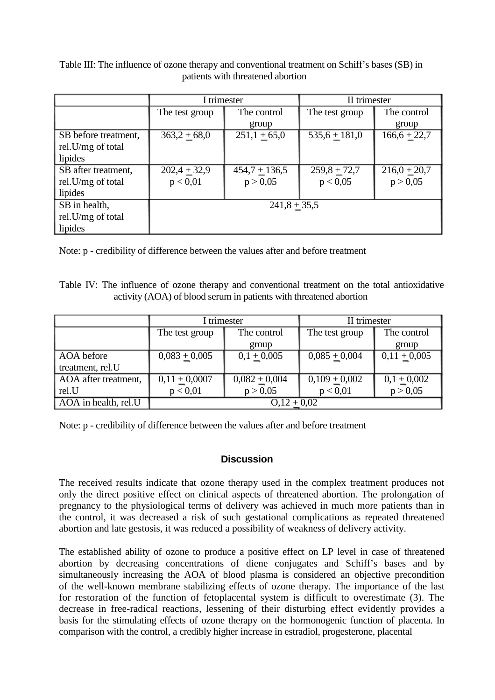|                      | I trimester    |                 | II trimester               |                |
|----------------------|----------------|-----------------|----------------------------|----------------|
|                      | The test group | The control     | The test group             | The control    |
|                      |                | group           |                            | group          |
| SB before treatment, | $363,2 + 68,0$ | $251,1+65,0$    | $\overline{535,6} + 181,0$ | $166,6 + 22,7$ |
| rel.U/mg of total    |                |                 |                            |                |
| lipides              |                |                 |                            |                |
| SB after treatment,  | $202,4+32,9$   | $454,7 + 136,5$ | $259,8 + 72,7$             | $216,0+20,7$   |
| rel.U/mg of total    | p < 0.01       | p > 0,05        | p < 0.05                   | p > 0,05       |
| lipides              |                |                 |                            |                |
| SB in health,        | $241,8 + 35,5$ |                 |                            |                |
| rel.U/mg of total    |                |                 |                            |                |
| lipides              |                |                 |                            |                |

Table III: The influence of ozone therapy and conventional treatment on Schiff's bases (SB) in patients with threatened abortion

Note: p - credibility of difference between the values after and before treatment

Table IV: The influence of ozone therapy and conventional treatment on the total antioxidative activity (AOA) of blood serum in patients with threatened abortion

|                      | I trimester     |                 | II trimester    |                |
|----------------------|-----------------|-----------------|-----------------|----------------|
|                      | The test group  | The control     | The test group  | The control    |
|                      |                 | group           |                 | group          |
| AOA before           | $0,083 + 0,005$ | $0,1 + 0,005$   | $0,085 + 0,004$ | $0,11 + 0,005$ |
| treatment, rel.U     |                 |                 |                 |                |
| AOA after treatment, | $0,11 + 0,0007$ | $0,082 + 0,004$ | $0,109 + 0,002$ | $0,1 + 0,002$  |
| rel.U                | p < 0.01        | p > 0,05        | p < 0.01        | p > 0,05       |
| AOA in health, rel.U | $0,12 + 0,02$   |                 |                 |                |

Note: p - credibility of difference between the values after and before treatment

# **Discussion**

The received results indicate that ozone therapy used in the complex treatment produces not only the direct positive effect on clinical aspects of threatened abortion. The prolongation of pregnancy to the physiological terms of delivery was achieved in much more patients than in the control, it was decreased a risk of such gestational complications as repeated threatened abortion and late gestosis, it was reduced a possibility of weakness of delivery activity.

The established ability of ozone to produce a positive effect on LP level in case of threatened abortion by decreasing concentrations of diene conjugates and Schiff's bases and by simultaneously increasing the AOA of blood plasma is considered an objective precondition of the well-known membrane stabilizing effects of ozone therapy. The importance of the last for restoration of the function of fetoplacental system is difficult to overestimate (3). The decrease in free-radical reactions, lessening of their disturbing effect evidently provides a basis for the stimulating effects of ozone therapy on the hormonogenic function of placenta. In comparison with the control, a credibly higher increase in estradiol, progesterone, placental